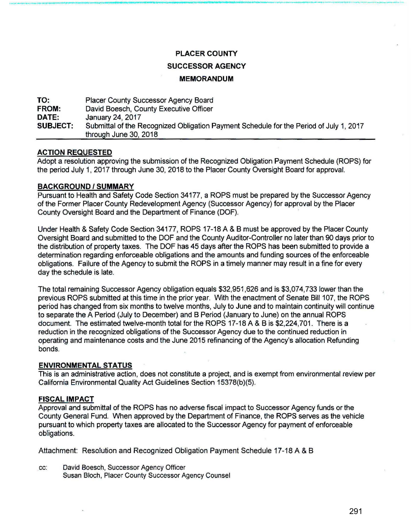# **PLACER COUNTY**

-------------------------------------·-----

# **SUCCESSOR AGENCY**

#### **MEMORANDUM**

**TO: FROM: DATE: SUBJECT:**  Placer County Successor Agency Board David Boesch, County Executive Officer January 24, 2017 Submittal of the Recognized Obligation Payment Schedule for the Period of July 1, 2017 through June 30, 2018

# **ACTION REQUESTED**

Adopt a resolution approving the submission of the Recognized Obligation Payment Schedule (ROPS) for the period July 1, 2017 through June 30, 2018 to the Placer County Oversight Board for approval.

#### **BACKGROUND/SUMMARY**

Pursuant to Health and Safety Code Section 34177, a ROPS must be prepared by the Successor Agency of the Former Placer County Redevelopment Agency (Successor Agency) for approval by the Placer County Oversight Board and the Department of Finance (DOF).

Under Health & Safety Code Section 34177, ROPS 17-18 A & 8 must be approved by the Placer County Oversight Board and submitted to the DOF and the County Auditor-Controller no later than 90 days prior to the distribution of property taxes. The DOF has 45 days after the ROPS has been submitted to provide a determination regarding enforceable obligations and the amounts and funding sources of the enforceable obligations. Failure of the Agency to submit the ROPS in a timely manner may result in a fine for every day the schedule is late.

The total remaining Successor Agency obligation equals \$32,951,626 and is \$3,074,733 lower than the previous ROPS submitted at this time in the prior year. With the enactment of Senate Bill 107, the ROPS period has changed from six months to twelve months, July to June and to maintain continuity will continue to separate the A Period (July to December) and B Period (January to June) on the annual ROPS document. The estimated twelve-month total for the ROPS 17-18 A & B is \$2,224,701. There is a reduction in the recognized obligations of the Successor Agency due to the continued reduction in operating and maintenance costs and the June 2015 refinancing of the Agency's allocation Refunding bonds.

#### **ENVIRONMENTAL STATUS**

This is an administrative action, does not constitute a project, and is exempt from environmental review per California Environmental Quality Act Guidelines Section 15378(b)(5).

# **FISCAL IMPACT**

Approval and submittal of the ROPS has no adverse fiscal impact to Successor Agency funds or the County General Fund. When approved by the Department of Finance, the ROPS serves as the vehicle pursuant to which property taxes are allocated to the Successor Agency for payment of enforceable obligations.

Attachment: Resolution and Recognized Obligation Payment Schedule 17-18 A & B

cc: David Boesch, Successor Agency Officer Susan Bloch, Placer County Successor Agency Counsel